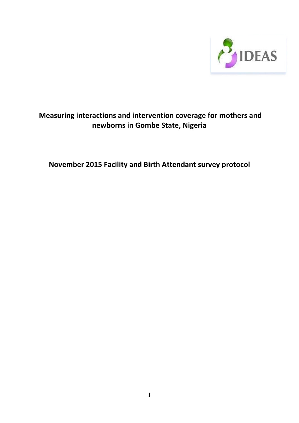

# Measuring interactions and intervention coverage for mothers and newborns in Gombe State, Nigeria

November 2015 Facility and Birth Attendant survey protocol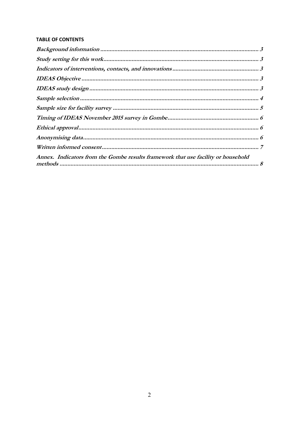# **TABLE OF CONTENTS**

| Annex. Indicators from the Gombe results framework that use facility or household |  |
|-----------------------------------------------------------------------------------|--|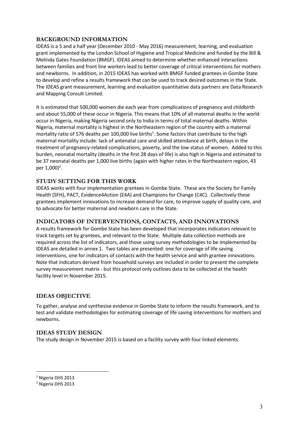# BACKGROUND INFORMATION

IDEAS is a 5 and a half year (December 2010 - May 2016) measurement, learning, and evaluation grant implemented by the London School of Hygiene and Tropical Medicine and funded by the Bill & Melinda Gates Foundation (BMGF). IDEAS aimed to determine whether enhanced interactions between families and front line workers lead to better coverage of critical interventions for mothers and newborns. In addition, in 2015 IDEAS has worked with BMGF funded grantees in Gombe State to develop and refine a results framework that can be used to track desired outcomes in the State. The IDEAS grant measurement, learning and evaluation quantitative data partners are Data Research and Mapping Consult Limited.

It is estimated that 500,000 women die each year from complications of pregnancy and childbirth and about 55,000 of these occur in Nigeria. This means that 10% of all maternal deaths in the world occur in Nigeria, making Nigeria second only to India in terms of total maternal deaths. Within Nigeria, maternal mortality is highest in the Northeastern region of the country with a maternal mortality ratio of 576 deaths per 100,000 live births<sup>1</sup>. Some factors that contribute to the high maternal mortality include: lack of antenatal care and skilled attendance at birth, delays in the treatment of pregnancy-related complications, poverty, and the low status of women. Added to this burden, neonatal mortality (deaths in the first 28 days of life) is also high in Nigeria and estimated to be 37 neonatal deaths per 1,000 live births (again with higher rates in the Northeastern region, 43 per 1,000)<sup>2</sup>.

# STUDY SETTING FOR THIS WORK

IDEAS works with four implementation grantees in Gombe State. These are the Society for Family Health (SFH), PACT, Evidence4Action (E4A) and Champions for Change (C4C). Collectively these grantees implement innovations to increase demand for care, to improve supply of quality care, and to advocate for better maternal and newborn care in the State.

# INDICATORS OF INTERVENTIONS, CONTACTS, AND INNOVATIONS

A results framework for Gombe State has been developed that incorporates indicators relevant to track targets set by grantees, and relevant to the State. Multiple data collection methods are required across the list of indicators, and those using survey methodologies to be implemented by IDEAS are detailed in annex 1. Two tables are presented: one for coverage of life saving interventions, one for indicators of contacts with the health service and with grantee innovations. Note that indicators derived from household surveys are included in order to present the complete survey measurement matrix - but this protocol only outlines data to be collected at the health facility level in November 2015.

# IDEAS OBJECTIVE

To gather, analyse and synthesise evidence in Gombe State to inform the results framework, and to test and validate methodologies for estimating coverage of life saving interventions for mothers and newborns.

# IDEAS STUDY DESIGN

The study design in November 2015 is based on a facility survey with four linked elements.

<sup>1</sup> Nigeria DHS 2013

<sup>2</sup> Nigeria DHS 2013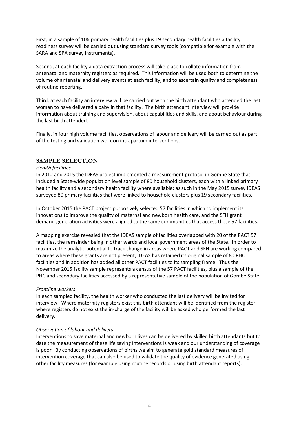First, in a sample of 106 primary health facilities plus 19 secondary health facilities a facility readiness survey will be carried out using standard survey tools (compatible for example with the SARA and SPA survey instruments).

Second, at each facility a data extraction process will take place to collate information from antenatal and maternity registers as required. This information will be used both to determine the volume of antenatal and delivery events at each facility, and to ascertain quality and completeness of routine reporting.

Third, at each facility an interview will be carried out with the birth attendant who attended the last woman to have delivered a baby in that facility. The birth attendant interview will provide information about training and supervision, about capabilities and skills, and about behaviour during the last birth attended.

Finally, in four high volume facilities, observations of labour and delivery will be carried out as part of the testing and validation work on intrapartum interventions.

### SAMPLE SELECTION

#### Health facilities

In 2012 and 2015 the IDEAS project implemented a measurement protocol in Gombe State that included a State-wide population level sample of 80 household clusters, each with a linked primary health facility and a secondary health facility where available: as such in the May 2015 survey IDEAS surveyed 80 primary facilities that were linked to household clusters plus 19 secondary facilities.

In October 2015 the PACT project purposively selected 57 facilities in which to implement its innovations to improve the quality of maternal and newborn health care, and the SFH grant demand-generation activities were aligned to the same communities that access these 57 facilities.

A mapping exercise revealed that the IDEAS sample of facilities overlapped with 20 of the PACT 57 facilities, the remainder being in other wards and local government areas of the State. In order to maximize the analytic potential to track change in areas where PACT and SFH are working compared to areas where these grants are not present, IDEAS has retained its original sample of 80 PHC facilities and in addition has added all other PACT facilities to its sampling frame. Thus the November 2015 facility sample represents a census of the 57 PACT facilities, plus a sample of the PHC and secondary facilities accessed by a representative sample of the population of Gombe State.

#### Frontline workers

In each sampled facility, the health worker who conducted the last delivery will be invited for interview. Where maternity registers exist this birth attendant will be identified from the register; where registers do not exist the in-charge of the facility will be asked who performed the last delivery.

### Observation of labour and delivery

Interventions to save maternal and newborn lives can be delivered by skilled birth attendants but to date the measurement of these life saving interventions is weak and our understanding of coverage is poor. By conducting observations of births we aim to generate gold standard measures of intervention coverage that can also be used to validate the quality of evidence generated using other facility measures (for example using routine records or using birth attendant reports).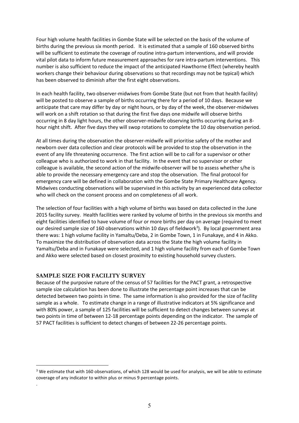Four high volume health facilities in Gombe State will be selected on the basis of the volume of births during the previous six month period. It is estimated that a sample of 160 observed births will be sufficient to estimate the coverage of routine intra-partum interventions, and will provide vital pilot data to inform future measurement approaches for rare intra-partum interventions. This number is also sufficient to reduce the impact of the anticipated Hawthorne Effect (whereby health workers change their behaviour during observations so that recordings may not be typical) which has been observed to diminish after the first eight observations.

In each health facility, two observer-midwives from Gombe State (but not from that health facility) will be posted to observe a sample of births occurring there for a period of 10 days. Because we anticipate that care may differ by day or night hours, or by day of the week, the observer-midwives will work on a shift rotation so that during the first five days one midwife will observe births occurring in 8 day light hours, the other observer-midwife observing births occurring during an 8 hour night shift. After five days they will swop rotations to complete the 10 day observation period.

At all times during the observation the observer-midwife will prioritise safety of the mother and newborn over data collection and clear protocols will be provided to stop the observation in the event of any life threatening occurrence. The first action will be to call for a supervisor or other colleague who is authorized to work in that facility. In the event that no supervisor or other colleague is available, the second action of the midwife-observer will be to assess whether s/he is able to provide the necessary emergency care and stop the observation. The final protocol for emergency care will be defined in collaboration with the Gombe State Primary Healthcare Agency. Midwives conducting observations will be supervised in this activity by an experienced data collector who will check on the consent process and on completeness of all work.

The selection of four facilities with a high volume of births was based on data collected in the June 2015 facility survey. Health facilities were ranked by volume of births in the previous six months and eight facilities identified to have volume of four or more births per day on average (required to meet our desired sample size of 160 observations within 10 days of fieldwork<sup>3</sup>). By local government area there was: 1 high volume facility in Yamaltu/Deba, 2 in Gombe Town, 1 in Funakaye, and 4 in Akko. To maximize the distribution of observation data across the State the high volume facility in Yamaltu/Deba and in Funakaye were selected, and 1 high volume facility from each of Gombe Town and Akko were selected based on closest proximity to existing household survey clusters.

# SAMPLE SIZE FOR FACILITY SURVEY

.

Because of the purposive nature of the census of 57 facilities for the PACT grant, a retrospective sample size calculation has been done to illustrate the percentage point increases that can be detected between two points in time. The same information is also provided for the size of facility sample as a whole. To estimate change in a range of illustrative indicators at 5% significance and with 80% power, a sample of 125 facilities will be sufficient to detect changes between surveys at two points in time of between 12-18 percentage points depending on the indicator. The sample of 57 PACT facilities is sufficient to detect changes of between 22-26 percentage points.

<sup>&</sup>lt;sup>3</sup> We estimate that with 160 observations, of which 128 would be used for analysis, we will be able to estimate coverage of any indicator to within plus or minus 9 percentage points.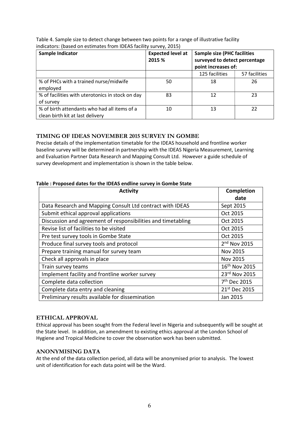| Sample Indicator                                                                 | <b>Expected level at</b><br>2015 % | <b>Sample size (PHC facilities</b><br>surveyed to detect percentage<br>point increases of: |               |
|----------------------------------------------------------------------------------|------------------------------------|--------------------------------------------------------------------------------------------|---------------|
|                                                                                  |                                    | 125 facilities                                                                             | 57 facilities |
| % of PHCs with a trained nurse/midwife<br>employed                               | 50                                 | 18                                                                                         | 26            |
| % of facilities with uterotonics in stock on day<br>of survey                    | 83                                 | 12                                                                                         | 23            |
| % of birth attendants who had all items of a<br>clean birth kit at last delivery | 10                                 | 13                                                                                         | 22            |

Table 4. Sample size to detect change between two points for a range of illustrative facility indicators: (based on estimates from IDEAS facility survey, 2015)

# TIMING OF IDEAS NOVEMBER 2015 SURVEY IN GOMBE

Precise details of the implementation timetable for the IDEAS household and frontline worker baseline survey will be determined in partnership with the IDEAS Nigeria Measurement, Learning and Evaluation Partner Data Research and Mapping Consult Ltd. However a guide schedule of survey development and implementation is shown in the table below.

| <b>Activity</b>                                              | Completion                |
|--------------------------------------------------------------|---------------------------|
|                                                              | date                      |
| Data Research and Mapping Consult Ltd contract with IDEAS    | Sept 2015                 |
| Submit ethical approval applications                         | Oct 2015                  |
| Discussion and agreement of responsibilities and timetabling | Oct 2015                  |
| Revise list of facilities to be visited                      | Oct 2015                  |
| Pre test survey tools in Gombe State                         | Oct 2015                  |
| Produce final survey tools and protocol                      | 2 <sup>nd</sup> Nov 2015  |
| Prepare training manual for survey team                      | Nov 2015                  |
| Check all approvals in place                                 | Nov 2015                  |
| Train survey teams                                           | 16 <sup>th</sup> Nov 2015 |
| Implement facility and frontline worker survey               | 23rd Nov 2015             |
| Complete data collection                                     | 7 <sup>th</sup> Dec 2015  |
| Complete data entry and cleaning                             | 21 <sup>st</sup> Dec 2015 |
| Preliminary results available for dissemination              | Jan 2015                  |

# ETHICAL APPROVAL

Ethical approval has been sought from the Federal level in Nigeria and subsequently will be sought at the State level. In addition, an amendment to existing ethics approval at the London School of Hygiene and Tropical Medicine to cover the observation work has been submitted.

# ANONYMISING DATA

At the end of the data collection period, all data will be anonymised prior to analysis. The lowest unit of identification for each data point will be the Ward.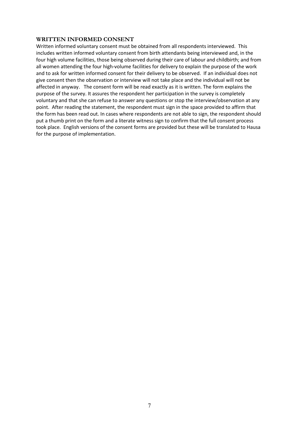### WRITTEN INFORMED CONSENT

Written informed voluntary consent must be obtained from all respondents interviewed. This includes written informed voluntary consent from birth attendants being interviewed and, in the four high volume facilities, those being observed during their care of labour and childbirth; and from all women attending the four high-volume facilities for delivery to explain the purpose of the work and to ask for written informed consent for their delivery to be observed. If an individual does not give consent then the observation or interview will not take place and the individual will not be affected in anyway. The consent form will be read exactly as it is written. The form explains the purpose of the survey. It assures the respondent her participation in the survey is completely voluntary and that she can refuse to answer any questions or stop the interview/observation at any point. After reading the statement, the respondent must sign in the space provided to affirm that the form has been read out. In cases where respondents are not able to sign, the respondent should put a thumb print on the form and a literate witness sign to confirm that the full consent process took place. English versions of the consent forms are provided but these will be translated to Hausa for the purpose of implementation.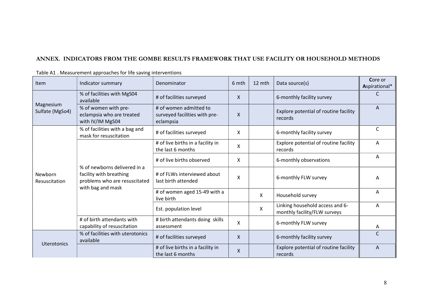# ANNEX. INDICATORS FROM THE GOMBE RESULTS FRAMEWORK THAT USE FACILITY OR HOUSEHOLD METHODS

| Item                         | Indicator summary                                                                                             | Denominator                                                          | 6 mth                     | 12 mth | Data source(s)                                                  | Core or<br>Aspirational* |
|------------------------------|---------------------------------------------------------------------------------------------------------------|----------------------------------------------------------------------|---------------------------|--------|-----------------------------------------------------------------|--------------------------|
|                              | % of facilities with MgS04<br>available                                                                       | # of facilities surveyed                                             | X                         |        | 6-monthly facility survey                                       |                          |
| Magnesium<br>Sulfate (MgSo4) | % of women with pre-<br>eclampsia who are treated<br>with IV/IM MgS04                                         | # of women admitted to<br>surveyed facilities with pre-<br>eclampsia | $\boldsymbol{\mathsf{X}}$ |        | Explore potential of routine facility<br>records                | A                        |
|                              | % of facilities with a bag and<br>mask for resuscitation                                                      | # of facilities surveyed                                             | Χ                         |        | 6-monthly facility survey                                       | $\mathsf{C}$             |
|                              | % of newborns delivered in a<br>facility with breathing<br>problems who are resuscitated<br>with bag and mask | # of live births in a facility in<br>the last 6 months               | X                         |        | Explore potential of routine facility<br>records                | A                        |
|                              |                                                                                                               | # of live births observed                                            | X                         |        | 6-monthly observations                                          | A                        |
| Newborn<br>Resuscitation     |                                                                                                               | # of FLWs interviewed about<br>last birth attended                   | X                         |        | 6-monthly FLW survey                                            | A                        |
|                              |                                                                                                               | # of women aged 15-49 with a<br>live birth                           |                           | X      | Household survey                                                | A                        |
|                              |                                                                                                               | Est. population level                                                |                           | X      | Linking household access and 6-<br>monthly facility/FLW surveys | A                        |
|                              | # of birth attendants with<br>capability of resuscitation                                                     | # birth attendants doing skills<br>assessment                        | X                         |        | 6-monthly FLW survey                                            | A                        |
|                              | % of facilities with uterotonics<br>available                                                                 | # of facilities surveyed                                             | $\mathsf{X}$              |        | 6-monthly facility survey                                       | $\mathsf{C}$             |
| Uterotonics                  |                                                                                                               | # of live births in a facility in<br>the last 6 months               | X                         |        | Explore potential of routine facility<br>records                | A                        |

Table A1 . Measurement approaches for life saving interventions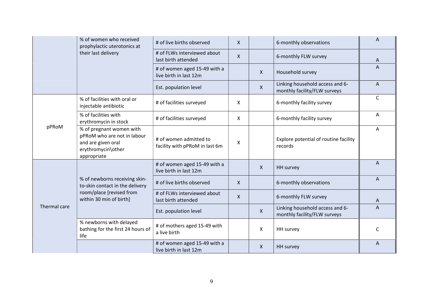|              | % of women who received<br>prophylactic uterotonics at<br>their last delivery                                      | # of live births observed                                | $\mathsf{X}$ |              | 6-monthly observations                                          | A            |
|--------------|--------------------------------------------------------------------------------------------------------------------|----------------------------------------------------------|--------------|--------------|-----------------------------------------------------------------|--------------|
|              |                                                                                                                    | # of FLWs interviewed about<br>last birth attended       | $\mathsf{X}$ |              | 6-monthly FLW survey                                            | A            |
|              |                                                                                                                    | # of women aged 15-49 with a<br>live birth in last 12m   |              | X            | Household survey                                                | A            |
|              |                                                                                                                    | Est. population level                                    |              | $\mathsf{X}$ | Linking household access and 6-<br>monthly facility/FLW surveys | $\Lambda$    |
|              | % of facilities with oral or<br>injectable antibiotic                                                              | # of facilities surveyed                                 | X            |              | 6-monthly facility survey                                       | C            |
|              | % of facilities with<br>erythromycin in stock                                                                      | # of facilities surveyed                                 | X            |              | 6-monthly facility survey                                       | A            |
| pPRoM        | % of pregnant women with<br>pPRoM who are not in labour<br>and are given oral<br>erythromycin\other<br>appropriate | # of women admitted to<br>facility with pPRoM in last 6m | X            |              | Explore potential of routine facility<br>records                | Α            |
|              |                                                                                                                    | # of women aged 15-49 with a<br>live birth in last 12m   |              | X            | <b>HH</b> survey                                                | A            |
|              | % of newborns receiving skin-<br>to-skin contact in the delivery                                                   | # of live births observed                                | $\mathsf{X}$ |              | 6-monthly observations                                          | A            |
|              | room/place [revised from<br>within 30 min of birth]                                                                | # of FLWs interviewed about<br>last birth attended       | $\mathsf{X}$ |              | 6-monthly FLW survey                                            | $\mathsf{A}$ |
| Thermal care |                                                                                                                    | Est. population level                                    |              | X            | Linking household access and 6-<br>monthly facility/FLW surveys | A            |
|              | % newborns with delayed<br>bathing for the first 24 hours of<br>life                                               | # of mothers aged 15-49 with<br>a live birth             |              | X            | HH survey                                                       | C            |
|              |                                                                                                                    | # of women aged 15-49 with a<br>live birth in last 12m   |              | X            | <b>HH</b> survey                                                | A            |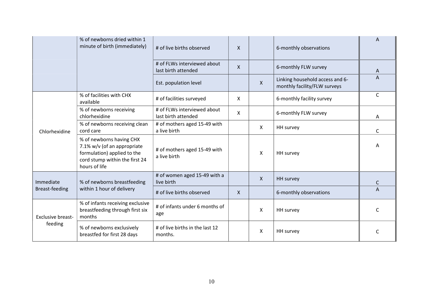|                                     | % of newborns dried within 1<br>minute of birth (immediately)                                                                             | # of live births observed                          | X            |              | 6-monthly observations                                          |              |
|-------------------------------------|-------------------------------------------------------------------------------------------------------------------------------------------|----------------------------------------------------|--------------|--------------|-----------------------------------------------------------------|--------------|
|                                     |                                                                                                                                           | # of FLWs interviewed about<br>last birth attended | $\mathsf{X}$ |              | 6-monthly FLW survey                                            | A            |
|                                     |                                                                                                                                           | Est. population level                              |              | $\mathsf{X}$ | Linking household access and 6-<br>monthly facility/FLW surveys | A            |
|                                     | % of facilities with CHX<br>available                                                                                                     | # of facilities surveyed                           | X            |              | 6-monthly facility survey                                       | C            |
|                                     | % of newborns receiving<br>chlorhexidine                                                                                                  | # of FLWs interviewed about<br>last birth attended | Χ            |              | 6-monthly FLW survey                                            | A            |
| Chlorhexidine                       | % of newborns receiving clean<br>cord care                                                                                                | # of mothers aged 15-49 with<br>a live birth       |              | X            | HH survey                                                       | $\mathsf{C}$ |
|                                     | % of newborns having CHX<br>7.1% w/v (of an appropriate<br>formulation) applied to the<br>cord stump within the first 24<br>hours of life | # of mothers aged 15-49 with<br>a live birth       |              | X            | HH survey                                                       | Α            |
| Immediate                           | % of newborns breastfeeding                                                                                                               | # of women aged 15-49 with a<br>live birth         |              | $\mathsf{X}$ | HH survey                                                       | C            |
| Breast-feeding                      | within 1 hour of delivery                                                                                                                 | # of live births observed                          | X            |              | 6-monthly observations                                          | A            |
| <b>Exclusive breast-</b><br>feeding | % of infants receiving exclusive<br>breastfeeding through first six<br>months                                                             | # of infants under 6 months of<br>age              |              | X            | HH survey                                                       |              |
|                                     | % of newborns exclusively<br>breastfed for first 28 days                                                                                  | # of live births in the last 12<br>months.         |              | Χ            | HH survey                                                       |              |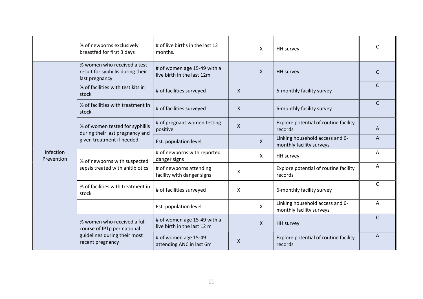|                         | % of newborns exclusively<br>breastfed for first 3 days                                                        | # of live births in the last 12<br>months.                 |              | X            | HH survey                                                   |              |
|-------------------------|----------------------------------------------------------------------------------------------------------------|------------------------------------------------------------|--------------|--------------|-------------------------------------------------------------|--------------|
|                         | % women who received a test<br>result for syphillis during their<br>last pregnancy                             | # of women age 15-49 with a<br>live birth in the last 12m  |              | X            | <b>HH</b> survey                                            | C            |
|                         | % of facilities with test kits in<br>stock                                                                     | # of facilities surveyed                                   | $\mathsf{X}$ |              | 6-monthly facility survey                                   | C            |
|                         | % of facilities with treatment in<br>stock                                                                     | # of facilities surveyed                                   | $\mathsf{X}$ |              | 6-monthly facility survey                                   | C            |
|                         | % of women tested for syphillis<br>during their last pregnancy and                                             | # of pregnant women testing<br>positive                    | $\mathsf{X}$ |              | Explore potential of routine facility<br>records            | A            |
|                         | given treatment if needed                                                                                      | Est. population level                                      |              | $\mathsf{X}$ | Linking household access and 6-<br>monthly facility surveys | A            |
| Infection<br>Prevention | % of newborns with suspected<br>sepsis treated with anitibiotics                                               | # of newborns with reported<br>danger signs                |              | $\mathsf{X}$ | HH survey                                                   | Α            |
|                         |                                                                                                                | # of newborns attending<br>facility with danger signs      | X            |              | Explore potential of routine facility<br>records            | A            |
|                         | % of facilities with treatment in<br>stock                                                                     | # of facilities surveyed                                   | X            |              | 6-monthly facility survey                                   | $\mathsf{C}$ |
|                         |                                                                                                                | Est. population level                                      |              | $\mathsf{X}$ | Linking household access and 6-<br>monthly facility surveys | A            |
|                         | % women who received a full<br>course of IPTp per national<br>guidelines during their most<br>recent pregnancy | # of women age 15-49 with a<br>live birth in the last 12 m |              | X.           | <b>HH</b> survey                                            | $\mathsf{C}$ |
|                         |                                                                                                                | # of women age 15-49<br>attending ANC in last 6m           | $\mathsf{X}$ |              | Explore potential of routine facility<br>records            | A            |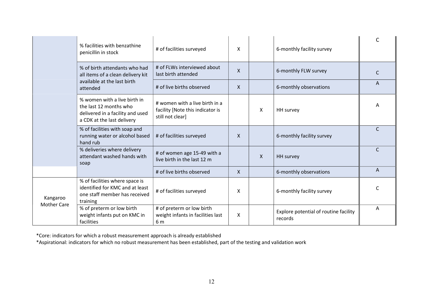|                                | % facilities with benzathine<br>penicillin in stock                                                                      | # of facilities surveyed                                                               | X                         |   | 6-monthly facility survey                        |              |
|--------------------------------|--------------------------------------------------------------------------------------------------------------------------|----------------------------------------------------------------------------------------|---------------------------|---|--------------------------------------------------|--------------|
|                                | % of birth attendants who had<br>all items of a clean delivery kit                                                       | # of FLWs interviewed about<br>last birth attended                                     | $\boldsymbol{\mathsf{X}}$ |   | 6-monthly FLW survey                             |              |
|                                | available at the last birth<br>attended                                                                                  | # of live births observed                                                              | X                         |   | 6-monthly observations                           | A            |
|                                | % women with a live birth in<br>the last 12 months who<br>delivered in a facility and used<br>a CDK at the last delivery | # women with a live birth in a<br>facility [Note this indicator is<br>still not clear] |                           | X | HH survey                                        | A            |
|                                | % of facilities with soap and<br>running water or alcohol based<br>hand rub                                              | # of facilities surveyed                                                               | $\mathsf{X}$              |   | 6-monthly facility survey                        | $\mathsf{C}$ |
|                                | % deliveries where delivery<br>attendant washed hands with<br>soap                                                       | # of women age 15-49 with a<br>live birth in the last 12 m                             |                           | X | <b>HH</b> survey                                 | $\mathsf{C}$ |
|                                |                                                                                                                          | # of live births observed                                                              | $\mathsf{X}$              |   | 6-monthly observations                           | A            |
| Kangaroo<br><b>Mother Care</b> | % of facilities where space is<br>identified for KMC and at least<br>one staff member has received<br>training           | # of facilities surveyed                                                               | X                         |   | 6-monthly facility survey                        |              |
|                                | % of preterm or low birth<br>weight infants put on KMC in<br>facilities                                                  | # of preterm or low birth<br>weight infants in facilities last<br>6 m                  | X                         |   | Explore potential of routine facility<br>records | A            |

\*Core: indicators for which a robust measurement approach is already established

\*Aspirational: indicators for which no robust measurement has been established, part of the testing and validation work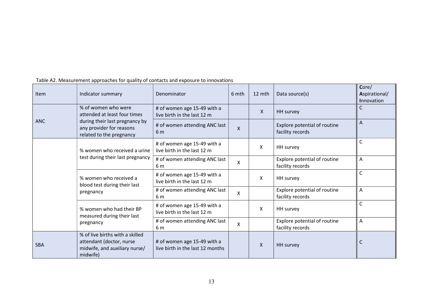| Item       | Indicator summary                                                                                        | Denominator                                                     | 6 mth        | 12 mth       | Data source(s)                                   | Core/<br>Aspirational/<br>Innovation |
|------------|----------------------------------------------------------------------------------------------------------|-----------------------------------------------------------------|--------------|--------------|--------------------------------------------------|--------------------------------------|
|            | % of women who were<br>attended at least four times                                                      | # of women age 15-49 with a<br>live birth in the last 12 m      |              | $\mathsf{X}$ | HH survey                                        | $\mathsf{C}$                         |
| <b>ANC</b> | during their last pregnancy by<br>any provider for reasons<br>related to the pregnancy                   | # of women attending ANC last<br>6 <sub>m</sub>                 | $\mathsf{X}$ |              | Explore potential of routine<br>facility records | $\overline{A}$                       |
|            | % women who received a urine                                                                             | # of women age 15-49 with a<br>live birth in the last 12 m      |              | X            | HH survey                                        | $\mathsf{C}$                         |
|            | test during their last pregnancy                                                                         | # of women attending ANC last<br>6 m                            | X            |              | Explore potential of routine<br>facility records | A                                    |
|            | % women who received a<br>blood test during their last                                                   | # of women age 15-49 with a<br>live birth in the last 12 m      |              | X            | HH survey                                        | $\mathsf{C}$                         |
|            | pregnancy                                                                                                | # of women attending ANC last<br>6 m                            | X            |              | Explore potential of routine<br>facility records | $\overline{A}$                       |
|            | % women who had their BP<br>measured during their last<br>pregnancy                                      | # of women age 15-49 with a<br>live birth in the last 12 m      |              | X            | HH survey                                        | $\mathsf{C}$                         |
|            |                                                                                                          | # of women attending ANC last<br>6 m                            | X            |              | Explore potential of routine<br>facility records | $\overline{A}$                       |
| <b>SBA</b> | % of live births with a skilled<br>attendant (doctor, nurse<br>midwife, and auxiliary nurse/<br>midwife) | # of women age 15-49 with a<br>live birth in the last 12 months |              | X            | HH survey                                        | C                                    |

Table A2. Measurement approaches for quality of contacts and exposure to innovations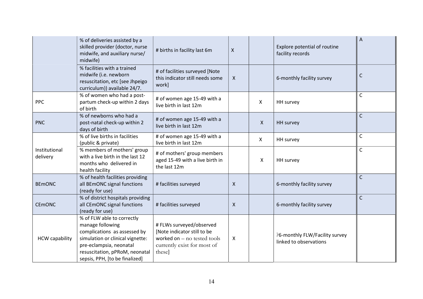|                           | % of deliveries assisted by a<br>skilled provider (doctor, nurse<br>midwife, and auxiliary nurse/<br>midwife)                                                                                                     | # births in facility last 6m                                                                                                      | $\mathsf{X}$   |              | Explore potential of routine<br>facility records         | ${\sf A}$    |
|---------------------------|-------------------------------------------------------------------------------------------------------------------------------------------------------------------------------------------------------------------|-----------------------------------------------------------------------------------------------------------------------------------|----------------|--------------|----------------------------------------------------------|--------------|
|                           | % facilities with a trained<br>midwife (i.e. newborn<br>resuscitation, etc [see Jhpeigo<br>curriculum)) available 24/7.                                                                                           | # of facilities surveyed [Note<br>this indicator still needs some<br>work]                                                        | $\mathsf{X}$   |              | 6-monthly facility survey                                | $\mathsf{C}$ |
| <b>PPC</b>                | % of women who had a post-<br>partum check-up within 2 days<br>of birth                                                                                                                                           | # of women age 15-49 with a<br>live birth in last 12m                                                                             |                | X            | HH survey                                                | $\mathsf{C}$ |
| <b>PNC</b>                | % of newborns who had a<br>post-natal check-up within 2<br>days of birth                                                                                                                                          | # of women age 15-49 with a<br>live birth in last 12m                                                                             |                | $\mathsf{X}$ | HH survey                                                | $\mathsf{C}$ |
|                           | % of live births in facilities<br>(public & private)                                                                                                                                                              | # of women age 15-49 with a<br>live birth in last 12m                                                                             |                | $\mathsf{X}$ | HH survey                                                | $\mathsf{C}$ |
| Institutional<br>delivery | % members of mothers' group<br>with a live birth in the last 12<br>months who delivered in<br>health facility                                                                                                     | # of mothers' group members<br>aged 15-49 with a live birth in<br>the last 12m                                                    |                | X            | HH survey                                                | $\mathsf{C}$ |
| <b>BEMONC</b>             | % of health facilities providing<br>all BEmONC signal functions<br>(ready for use)                                                                                                                                | # facilities surveyed                                                                                                             | $\mathsf{X}$   |              | 6-monthly facility survey                                | $\mathsf{C}$ |
| <b>CEMONC</b>             | % of district hospitals providing<br>all CEmONC signal functions<br>(ready for use)                                                                                                                               | # facilities surveyed                                                                                                             | $\mathsf{X}$   |              | 6-monthly facility survey                                | $\mathsf{C}$ |
| <b>HCW capability</b>     | % of FLW able to correctly<br>manage following<br>complications as assessed by<br>simulation or clinical vignette:<br>pre-eclampsia, neonatal<br>resuscitation, pPRoM, neonatal<br>sepsis, PPH, [to be finalized] | # FLWs surveyed/observed<br>[Note indicator still to be<br>worked on $-$ no tested tools<br>currently exist for most of<br>these] | $\pmb{\times}$ |              | ?6-monthly FLW/Facility survey<br>linked to observations |              |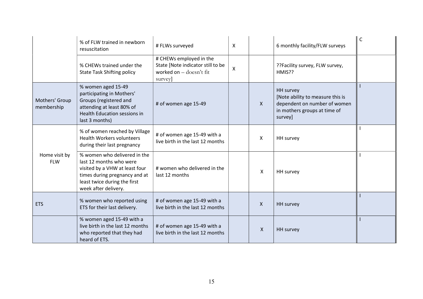|                              | % of FLW trained in newborn<br>resuscitation                                                                                                                                       | # FLWs surveyed                                                                                    | $\boldsymbol{\mathsf{X}}$ |                           | 6 monthly facility/FLW surveys                                                                                                  | $\mathsf{C}$ |
|------------------------------|------------------------------------------------------------------------------------------------------------------------------------------------------------------------------------|----------------------------------------------------------------------------------------------------|---------------------------|---------------------------|---------------------------------------------------------------------------------------------------------------------------------|--------------|
|                              | % CHEWs trained under the<br><b>State Task Shifting policy</b>                                                                                                                     | # CHEWs employed in the<br>State [Note indicator still to be<br>worked on - doesn't fit<br>survey] | $\boldsymbol{\mathsf{X}}$ |                           | ??Facility survey, FLW survey,<br>HMIS??                                                                                        |              |
| Mothers' Group<br>membership | % women aged 15-49<br>participating in Mothers'<br>Groups (registered and<br>attending at least 80% of<br><b>Health Education sessions in</b><br>last 3 months)                    | # of women age 15-49                                                                               |                           | $\mathsf{X}$              | <b>HH</b> survey<br>[Note ability to measure this is<br>dependent on number of women<br>in mothers groups at time of<br>survey] |              |
|                              | % of women reached by Village<br><b>Health Workers volunteers</b><br>during their last pregnancy                                                                                   | # of women age 15-49 with a<br>live birth in the last 12 months                                    |                           | $\pmb{\times}$            | HH survey                                                                                                                       |              |
| Home visit by<br><b>FLW</b>  | % women who delivered in the<br>last 12 months who were<br>visited by a VHW at least four<br>times during pregnancy and at<br>least twice during the first<br>week after delivery. | # women who delivered in the<br>last 12 months                                                     |                           | $\boldsymbol{\mathsf{X}}$ | HH survey                                                                                                                       |              |
| <b>ETS</b>                   | % women who reported using<br>ETS for their last delivery.                                                                                                                         | # of women age 15-49 with a<br>live birth in the last 12 months                                    |                           | $\mathsf{X}$              | <b>HH</b> survey                                                                                                                |              |
|                              | % women aged 15-49 with a<br>live birth in the last 12 months<br>who reported that they had<br>heard of ETS.                                                                       | # of women age 15-49 with a<br>live birth in the last 12 months                                    |                           | $\mathsf{X}$              | HH survey                                                                                                                       |              |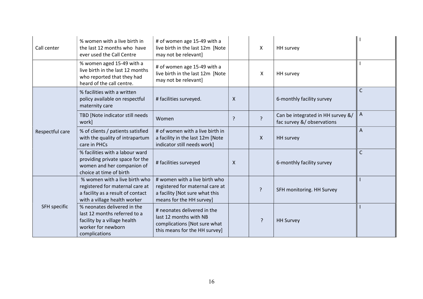| Call center     | % women with a live birth in<br>the last 12 months who have<br>ever used the Call Centre                                              | # of women age 15-49 with a<br>live birth in the last 12m [Note<br>may not be relevant]                                        |                           | X              | HH survey                                                       |                |
|-----------------|---------------------------------------------------------------------------------------------------------------------------------------|--------------------------------------------------------------------------------------------------------------------------------|---------------------------|----------------|-----------------------------------------------------------------|----------------|
|                 | % women aged 15-49 with a<br>live birth in the last 12 months<br>who reported that they had<br>heard of the call centre.              | # of women age 15-49 with a<br>live birth in the last 12m [Note<br>may not be relevant]                                        |                           | X              | HH survey                                                       |                |
| Respectful care | % facilities with a written<br>policy available on respectful<br>maternity care                                                       | # facilities surveyed.                                                                                                         | $\boldsymbol{\mathsf{X}}$ |                | 6-monthly facility survey                                       | $\mathsf{C}$   |
|                 | TBD [Note indicator still needs<br>work]                                                                                              | Women                                                                                                                          | ?                         | $\overline{?}$ | Can be integrated in HH survey &/<br>fac survey &/ observations | $\Lambda$      |
|                 | % of clients / patients satisfied<br>with the quality of intrapartum<br>care in PHCs                                                  | # of women with a live birth in<br>a facility in the last 12m [Note<br>indicator still needs work]                             |                           | $\mathsf{X}$   | HH survey                                                       | $\overline{A}$ |
|                 | % facilities with a labour ward<br>providing private space for the<br>women and her companion of<br>choice at time of birth           | # facilities surveyed                                                                                                          | $\boldsymbol{\mathsf{X}}$ |                | 6-monthly facility survey                                       | $\mathsf{C}$   |
| SFH specific    | % women with a live birth who<br>registered for maternal care at<br>a facility as a result of contact<br>with a village health worker | # women with a live birth who<br>registered for maternal care at<br>a facility [Not sure what this<br>means for the HH survey] |                           | ς              | SFH monitoring. HH Survey                                       |                |
|                 | % neonates delivered in the<br>last 12 months referred to a<br>facility by a village health<br>worker for newborn<br>complications    | # neonates delivered in the<br>last 12 months with NB<br>complications [Not sure what<br>this means for the HH survey]         |                           | ς              | <b>HH Survey</b>                                                |                |